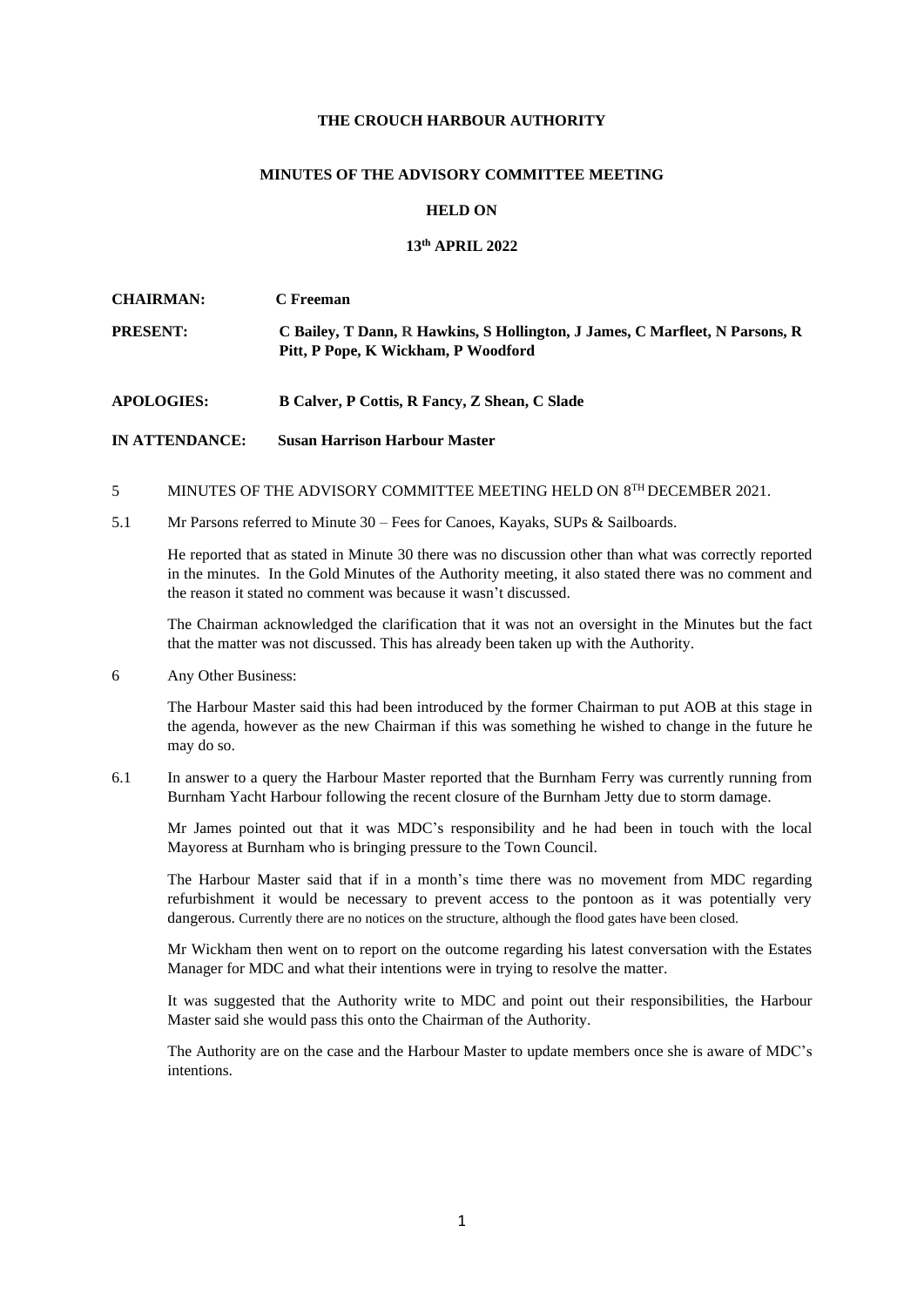## **THE CROUCH HARBOUR AUTHORITY**

## **MINUTES OF THE ADVISORY COMMITTEE MEETING**

#### **HELD ON**

## **13th APRIL 2022**

| <b>CHAIRMAN:</b>  | C Freeman                                                                                                           |
|-------------------|---------------------------------------------------------------------------------------------------------------------|
| <b>PRESENT:</b>   | C Bailey, T Dann, R Hawkins, S Hollington, J James, C Marfleet, N Parsons, R<br>Pitt, P Pope, K Wickham, P Woodford |
| <b>APOLOGIES:</b> | B Calver, P Cottis, R Fancy, Z Shean, C Slade                                                                       |

#### **IN ATTENDANCE: Susan Harrison Harbour Master**

- 5 MINUTES OF THE ADVISORY COMMITTEE MEETING HELD ON 8<sup>TH</sup> DECEMBER 2021.
- 5.1 Mr Parsons referred to Minute 30 Fees for Canoes, Kayaks, SUPs & Sailboards.

He reported that as stated in Minute 30 there was no discussion other than what was correctly reported in the minutes. In the Gold Minutes of the Authority meeting, it also stated there was no comment and the reason it stated no comment was because it wasn't discussed.

The Chairman acknowledged the clarification that it was not an oversight in the Minutes but the fact that the matter was not discussed. This has already been taken up with the Authority.

6 Any Other Business:

The Harbour Master said this had been introduced by the former Chairman to put AOB at this stage in the agenda, however as the new Chairman if this was something he wished to change in the future he may do so.

6.1 In answer to a query the Harbour Master reported that the Burnham Ferry was currently running from Burnham Yacht Harbour following the recent closure of the Burnham Jetty due to storm damage.

Mr James pointed out that it was MDC's responsibility and he had been in touch with the local Mayoress at Burnham who is bringing pressure to the Town Council.

The Harbour Master said that if in a month's time there was no movement from MDC regarding refurbishment it would be necessary to prevent access to the pontoon as it was potentially very dangerous. Currently there are no notices on the structure, although the flood gates have been closed.

Mr Wickham then went on to report on the outcome regarding his latest conversation with the Estates Manager for MDC and what their intentions were in trying to resolve the matter.

It was suggested that the Authority write to MDC and point out their responsibilities, the Harbour Master said she would pass this onto the Chairman of the Authority.

The Authority are on the case and the Harbour Master to update members once she is aware of MDC's intentions.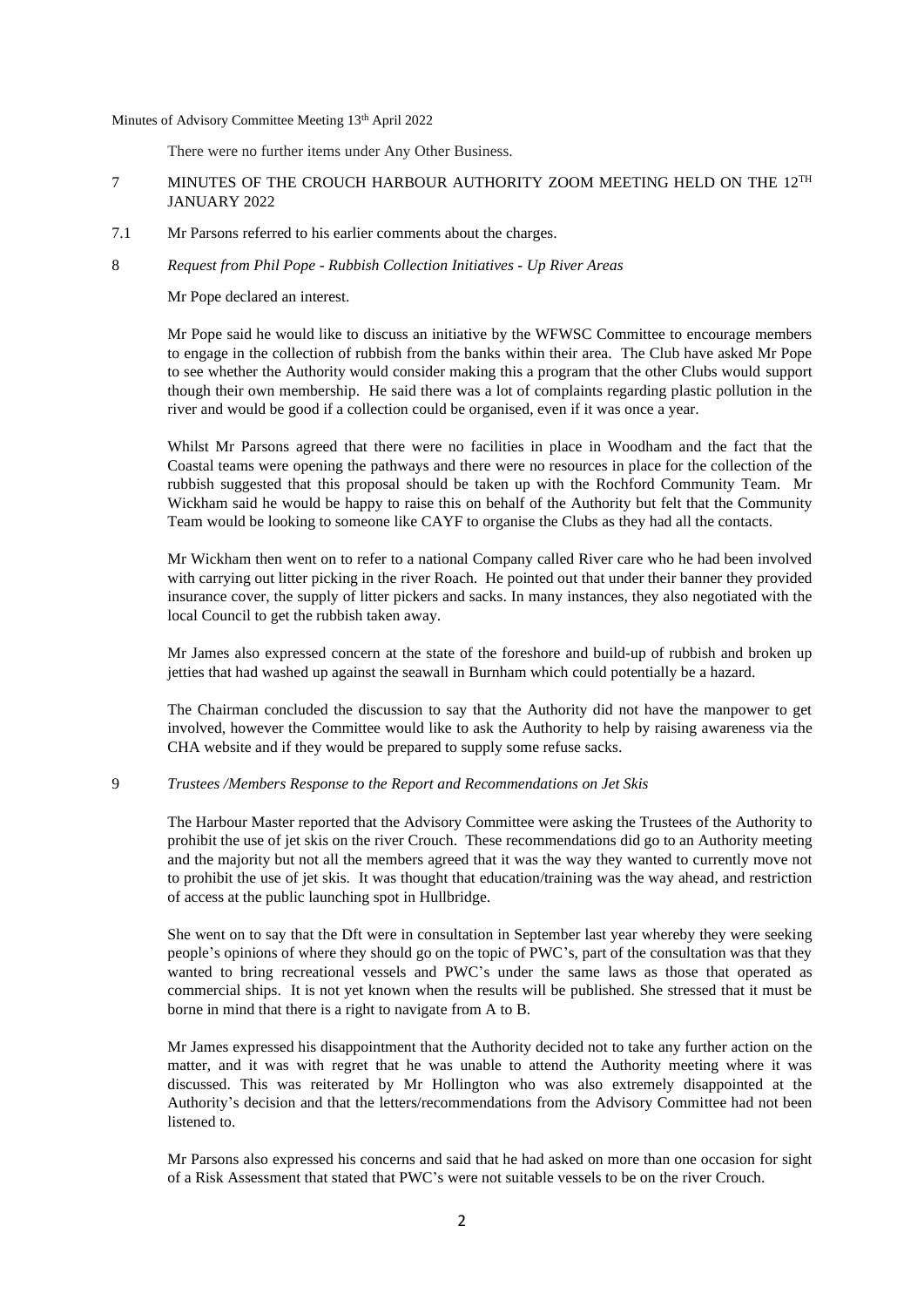There were no further items under Any Other Business.

# 7 MINUTES OF THE CROUCH HARBOUR AUTHORITY ZOOM MEETING HELD ON THE 12<sup>TH</sup> JANUARY 2022

7.1 Mr Parsons referred to his earlier comments about the charges.

## 8 *Request from Phil Pope - Rubbish Collection Initiatives - Up River Areas*

Mr Pope declared an interest.

Mr Pope said he would like to discuss an initiative by the WFWSC Committee to encourage members to engage in the collection of rubbish from the banks within their area. The Club have asked Mr Pope to see whether the Authority would consider making this a program that the other Clubs would support though their own membership. He said there was a lot of complaints regarding plastic pollution in the river and would be good if a collection could be organised, even if it was once a year.

Whilst Mr Parsons agreed that there were no facilities in place in Woodham and the fact that the Coastal teams were opening the pathways and there were no resources in place for the collection of the rubbish suggested that this proposal should be taken up with the Rochford Community Team. Mr Wickham said he would be happy to raise this on behalf of the Authority but felt that the Community Team would be looking to someone like CAYF to organise the Clubs as they had all the contacts.

Mr Wickham then went on to refer to a national Company called River care who he had been involved with carrying out litter picking in the river Roach. He pointed out that under their banner they provided insurance cover, the supply of litter pickers and sacks. In many instances, they also negotiated with the local Council to get the rubbish taken away.

Mr James also expressed concern at the state of the foreshore and build-up of rubbish and broken up jetties that had washed up against the seawall in Burnham which could potentially be a hazard.

The Chairman concluded the discussion to say that the Authority did not have the manpower to get involved, however the Committee would like to ask the Authority to help by raising awareness via the CHA website and if they would be prepared to supply some refuse sacks.

#### 9 *Trustees /Members Response to the Report and Recommendations on Jet Skis*

The Harbour Master reported that the Advisory Committee were asking the Trustees of the Authority to prohibit the use of jet skis on the river Crouch. These recommendations did go to an Authority meeting and the majority but not all the members agreed that it was the way they wanted to currently move not to prohibit the use of jet skis. It was thought that education/training was the way ahead, and restriction of access at the public launching spot in Hullbridge.

She went on to say that the Dft were in consultation in September last year whereby they were seeking people's opinions of where they should go on the topic of PWC's, part of the consultation was that they wanted to bring recreational vessels and PWC's under the same laws as those that operated as commercial ships. It is not yet known when the results will be published. She stressed that it must be borne in mind that there is a right to navigate from A to B.

Mr James expressed his disappointment that the Authority decided not to take any further action on the matter, and it was with regret that he was unable to attend the Authority meeting where it was discussed. This was reiterated by Mr Hollington who was also extremely disappointed at the Authority's decision and that the letters/recommendations from the Advisory Committee had not been listened to.

Mr Parsons also expressed his concerns and said that he had asked on more than one occasion for sight of a Risk Assessment that stated that PWC's were not suitable vessels to be on the river Crouch.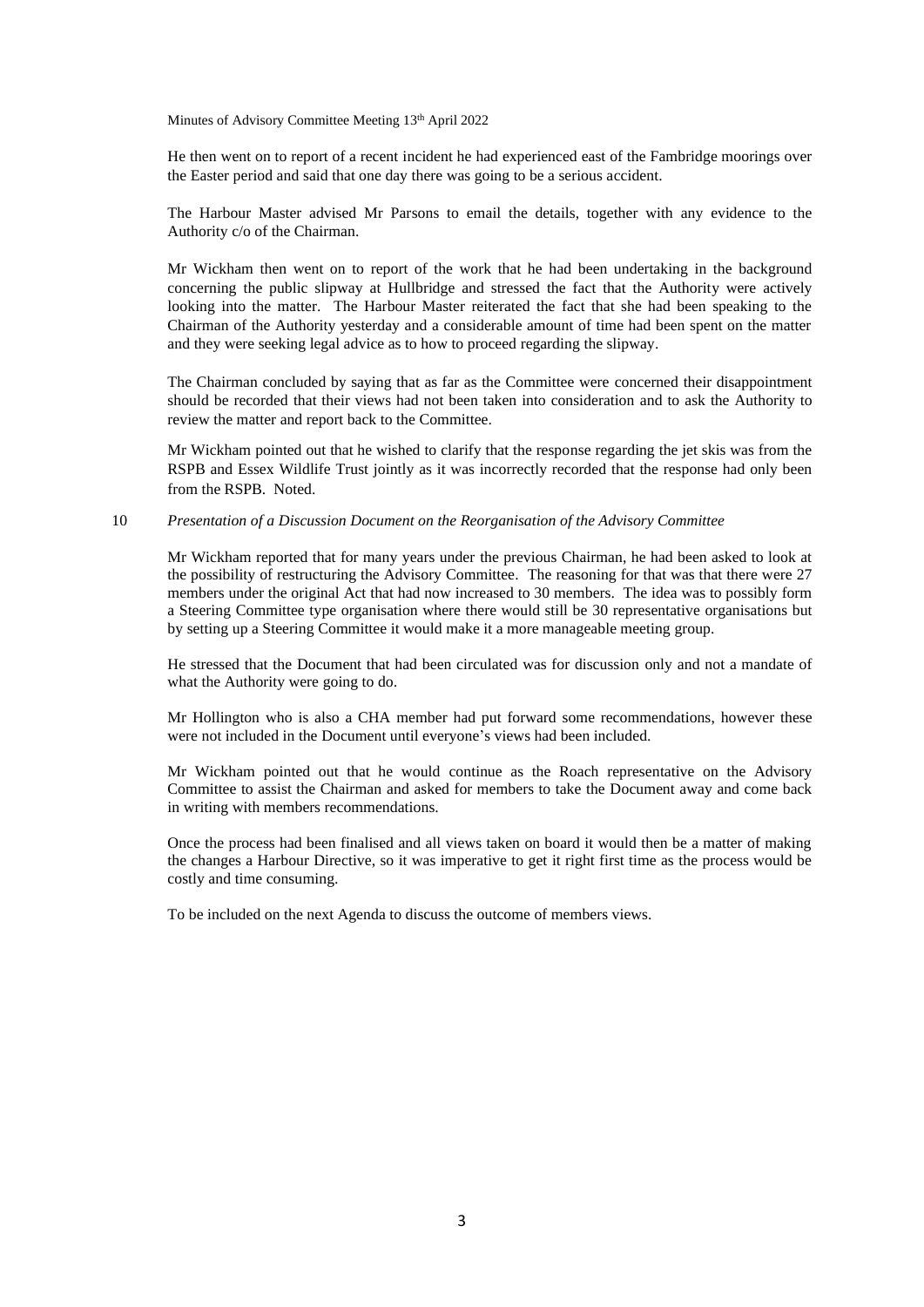He then went on to report of a recent incident he had experienced east of the Fambridge moorings over the Easter period and said that one day there was going to be a serious accident.

The Harbour Master advised Mr Parsons to email the details, together with any evidence to the Authority c/o of the Chairman.

Mr Wickham then went on to report of the work that he had been undertaking in the background concerning the public slipway at Hullbridge and stressed the fact that the Authority were actively looking into the matter. The Harbour Master reiterated the fact that she had been speaking to the Chairman of the Authority yesterday and a considerable amount of time had been spent on the matter and they were seeking legal advice as to how to proceed regarding the slipway.

The Chairman concluded by saying that as far as the Committee were concerned their disappointment should be recorded that their views had not been taken into consideration and to ask the Authority to review the matter and report back to the Committee.

Mr Wickham pointed out that he wished to clarify that the response regarding the jet skis was from the RSPB and Essex Wildlife Trust jointly as it was incorrectly recorded that the response had only been from the RSPB. Noted.

# 10 *Presentation of a Discussion Document on the Reorganisation of the Advisory Committee*

Mr Wickham reported that for many years under the previous Chairman, he had been asked to look at the possibility of restructuring the Advisory Committee. The reasoning for that was that there were 27 members under the original Act that had now increased to 30 members. The idea was to possibly form a Steering Committee type organisation where there would still be 30 representative organisations but by setting up a Steering Committee it would make it a more manageable meeting group.

He stressed that the Document that had been circulated was for discussion only and not a mandate of what the Authority were going to do.

Mr Hollington who is also a CHA member had put forward some recommendations, however these were not included in the Document until everyone's views had been included.

Mr Wickham pointed out that he would continue as the Roach representative on the Advisory Committee to assist the Chairman and asked for members to take the Document away and come back in writing with members recommendations.

Once the process had been finalised and all views taken on board it would then be a matter of making the changes a Harbour Directive, so it was imperative to get it right first time as the process would be costly and time consuming.

To be included on the next Agenda to discuss the outcome of members views.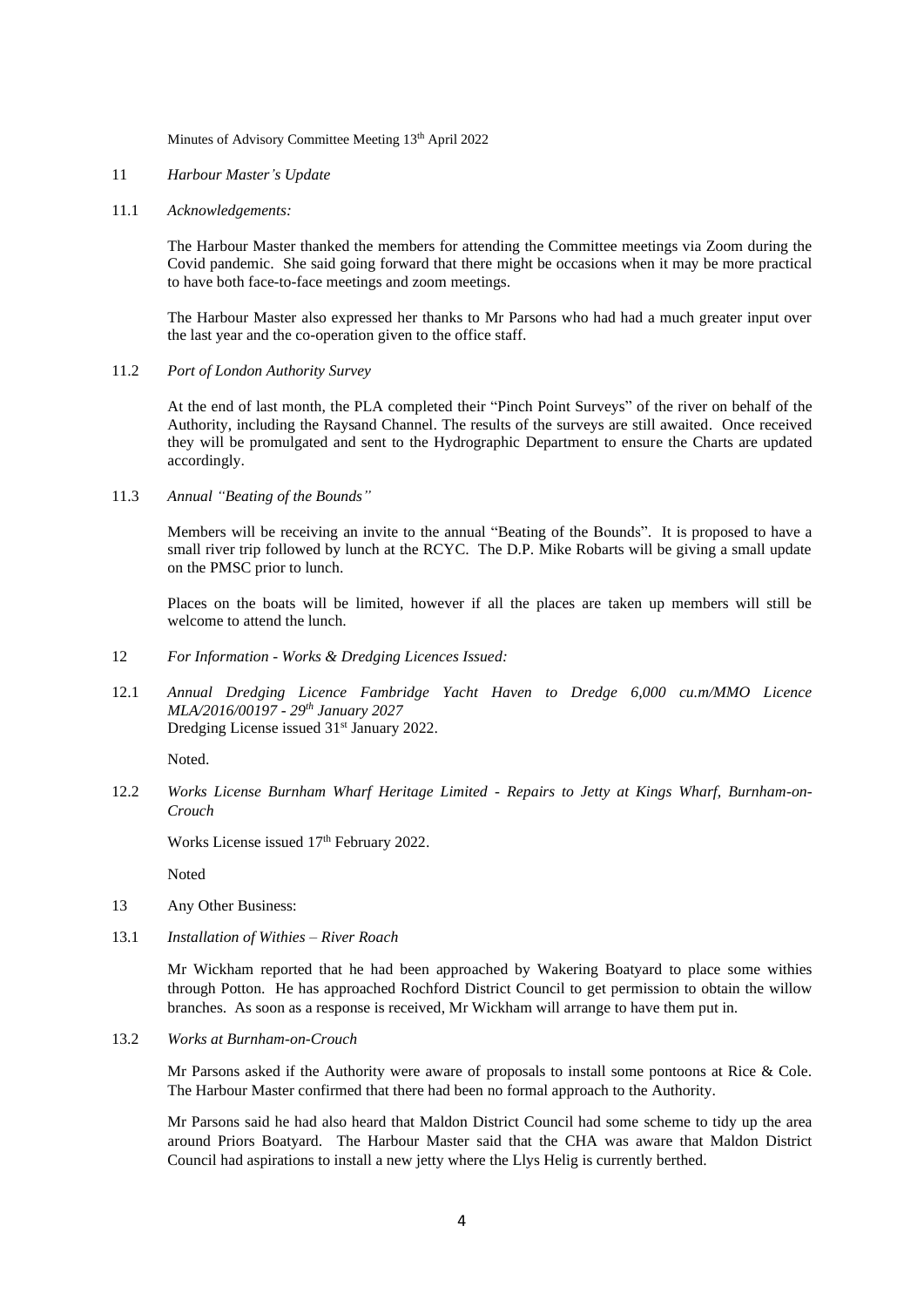- 11 *Harbour Master's Update*
- 11.1 *Acknowledgements:*

The Harbour Master thanked the members for attending the Committee meetings via Zoom during the Covid pandemic. She said going forward that there might be occasions when it may be more practical to have both face-to-face meetings and zoom meetings.

The Harbour Master also expressed her thanks to Mr Parsons who had had a much greater input over the last year and the co-operation given to the office staff.

11.2 *Port of London Authority Survey*

At the end of last month, the PLA completed their "Pinch Point Surveys" of the river on behalf of the Authority, including the Raysand Channel. The results of the surveys are still awaited. Once received they will be promulgated and sent to the Hydrographic Department to ensure the Charts are updated accordingly.

11.3 *Annual "Beating of the Bounds"*

Members will be receiving an invite to the annual "Beating of the Bounds". It is proposed to have a small river trip followed by lunch at the RCYC. The D.P. Mike Robarts will be giving a small update on the PMSC prior to lunch.

Places on the boats will be limited, however if all the places are taken up members will still be welcome to attend the lunch.

- 12 *For Information - Works & Dredging Licences Issued:*
- 12.1 *Annual Dredging Licence Fambridge Yacht Haven to Dredge 6,000 cu.m/MMO Licence MLA/2016/00197 - 29th January 2027* Dredging License issued  $31<sup>st</sup>$  January 2022.

Noted.

12.2 *Works License Burnham Wharf Heritage Limited - Repairs to Jetty at Kings Wharf, Burnham-on-Crouch*

Works License issued 17th February 2022.

Noted

- 13 Any Other Business:
- 13.1 *Installation of Withies – River Roach*

Mr Wickham reported that he had been approached by Wakering Boatyard to place some withies through Potton. He has approached Rochford District Council to get permission to obtain the willow branches. As soon as a response is received, Mr Wickham will arrange to have them put in.

13.2 *Works at Burnham-on-Crouch*

Mr Parsons asked if the Authority were aware of proposals to install some pontoons at Rice & Cole. The Harbour Master confirmed that there had been no formal approach to the Authority.

Mr Parsons said he had also heard that Maldon District Council had some scheme to tidy up the area around Priors Boatyard. The Harbour Master said that the CHA was aware that Maldon District Council had aspirations to install a new jetty where the Llys Helig is currently berthed.